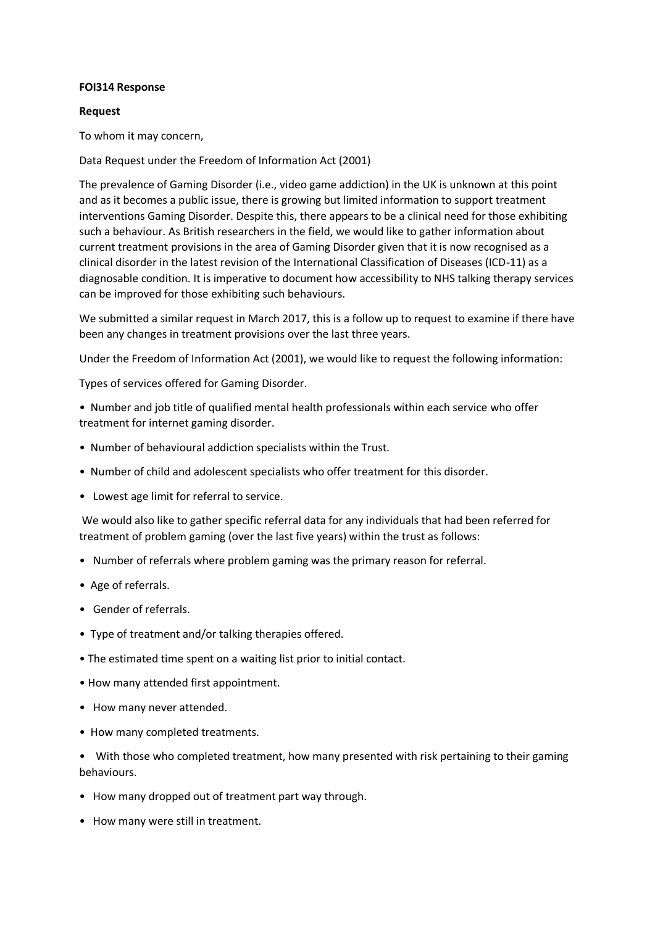## **FOI314 Response**

## **Request**

To whom it may concern,

Data Request under the Freedom of Information Act (2001)

The prevalence of Gaming Disorder (i.e., video game addiction) in the UK is unknown at this point and as it becomes a public issue, there is growing but limited information to support treatment interventions Gaming Disorder. Despite this, there appears to be a clinical need for those exhibiting such a behaviour. As British researchers in the field, we would like to gather information about current treatment provisions in the area of Gaming Disorder given that it is now recognised as a clinical disorder in the latest revision of the International Classification of Diseases (ICD-11) as a diagnosable condition. It is imperative to document how accessibility to NHS talking therapy services can be improved for those exhibiting such behaviours.

We submitted a similar request in March 2017, this is a follow up to request to examine if there have been any changes in treatment provisions over the last three years.

Under the Freedom of Information Act (2001), we would like to request the following information:

Types of services offered for Gaming Disorder.

• Number and job title of qualified mental health professionals within each service who offer treatment for internet gaming disorder.

- Number of behavioural addiction specialists within the Trust.
- Number of child and adolescent specialists who offer treatment for this disorder.
- Lowest age limit for referral to service.

We would also like to gather specific referral data for any individuals that had been referred for treatment of problem gaming (over the last five years) within the trust as follows:

- Number of referrals where problem gaming was the primary reason for referral.
- Age of referrals.
- Gender of referrals.
- Type of treatment and/or talking therapies offered.
- The estimated time spent on a waiting list prior to initial contact.
- How many attended first appointment.
- How many never attended.
- How many completed treatments.

• With those who completed treatment, how many presented with risk pertaining to their gaming behaviours.

- How many dropped out of treatment part way through.
- How many were still in treatment.